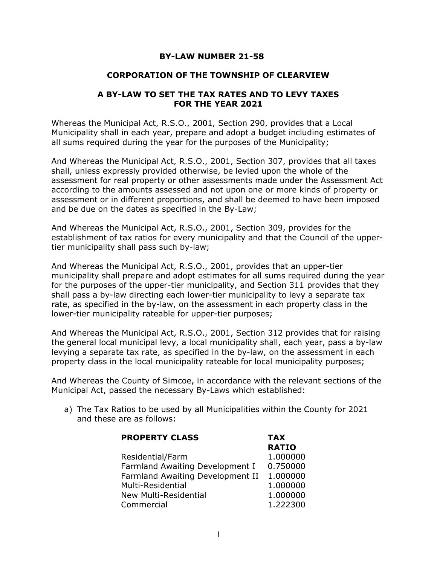### BY-LAW NUMBER 21-58

### CORPORATION OF THE TOWNSHIP OF CLEARVIEW

### A BY-LAW TO SET THE TAX RATES AND TO LEVY TAXES FOR THE YEAR 2021

Whereas the Municipal Act, R.S.O., 2001, Section 290, provides that a Local Municipality shall in each year, prepare and adopt a budget including estimates of all sums required during the year for the purposes of the Municipality;

And Whereas the Municipal Act, R.S.O., 2001, Section 307, provides that all taxes shall, unless expressly provided otherwise, be levied upon the whole of the assessment for real property or other assessments made under the Assessment Act according to the amounts assessed and not upon one or more kinds of property or assessment or in different proportions, and shall be deemed to have been imposed and be due on the dates as specified in the By-Law;

And Whereas the Municipal Act, R.S.O., 2001, Section 309, provides for the establishment of tax ratios for every municipality and that the Council of the uppertier municipality shall pass such by-law;

And Whereas the Municipal Act, R.S.O., 2001, provides that an upper-tier municipality shall prepare and adopt estimates for all sums required during the year for the purposes of the upper-tier municipality, and Section 311 provides that they shall pass a by-law directing each lower-tier municipality to levy a separate tax rate, as specified in the by-law, on the assessment in each property class in the lower-tier municipality rateable for upper-tier purposes;

And Whereas the Municipal Act, R.S.O., 2001, Section 312 provides that for raising the general local municipal levy, a local municipality shall, each year, pass a by-law levying a separate tax rate, as specified in the by-law, on the assessment in each property class in the local municipality rateable for local municipality purposes;

And Whereas the County of Simcoe, in accordance with the relevant sections of the Municipal Act, passed the necessary By-Laws which established:

a) The Tax Ratios to be used by all Municipalities within the County for 2021 and these are as follows:

| <b>PROPERTY CLASS</b>            | <b>TAX</b>   |
|----------------------------------|--------------|
|                                  | <b>RATIO</b> |
| Residential/Farm                 | 1.000000     |
| Farmland Awaiting Development I  | 0.750000     |
| Farmland Awaiting Development II | 1.000000     |
| Multi-Residential                | 1.000000     |
| New Multi-Residential            | 1.000000     |
| Commercial                       | 1.222300     |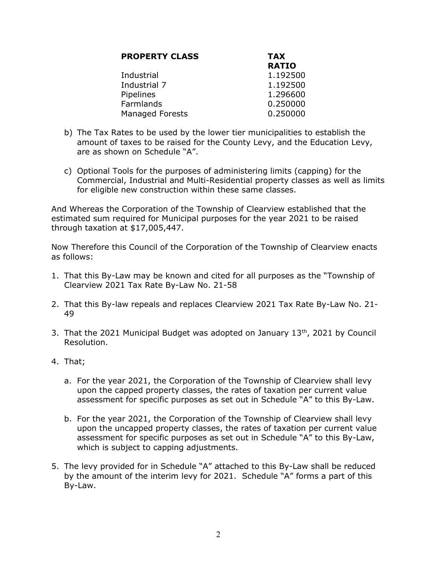| <b>PROPERTY CLASS</b> | <b>TAX</b>   |  |  |
|-----------------------|--------------|--|--|
|                       | <b>RATIO</b> |  |  |
| Industrial            | 1.192500     |  |  |
| Industrial 7          | 1.192500     |  |  |
| Pipelines             | 1.296600     |  |  |
| Farmlands             | 0.250000     |  |  |
| Managed Forests       | 0.250000     |  |  |

- b) The Tax Rates to be used by the lower tier municipalities to establish the amount of taxes to be raised for the County Levy, and the Education Levy, are as shown on Schedule "A".
- c) Optional Tools for the purposes of administering limits (capping) for the Commercial, Industrial and Multi-Residential property classes as well as limits for eligible new construction within these same classes.

And Whereas the Corporation of the Township of Clearview established that the estimated sum required for Municipal purposes for the year 2021 to be raised through taxation at \$17,005,447.

Now Therefore this Council of the Corporation of the Township of Clearview enacts as follows:

- 1. That this By-Law may be known and cited for all purposes as the "Township of Clearview 2021 Tax Rate By-Law No. 21-58
- 2. That this By-law repeals and replaces Clearview 2021 Tax Rate By-Law No. 21- 49
- 3. That the 2021 Municipal Budget was adopted on January  $13<sup>th</sup>$ , 2021 by Council Resolution.
- 4. That;
	- a. For the year 2021, the Corporation of the Township of Clearview shall levy upon the capped property classes, the rates of taxation per current value assessment for specific purposes as set out in Schedule "A" to this By-Law.
	- b. For the year 2021, the Corporation of the Township of Clearview shall levy upon the uncapped property classes, the rates of taxation per current value assessment for specific purposes as set out in Schedule "A" to this By-Law, which is subject to capping adjustments.
- 5. The levy provided for in Schedule "A" attached to this By-Law shall be reduced by the amount of the interim levy for 2021. Schedule "A" forms a part of this By-Law.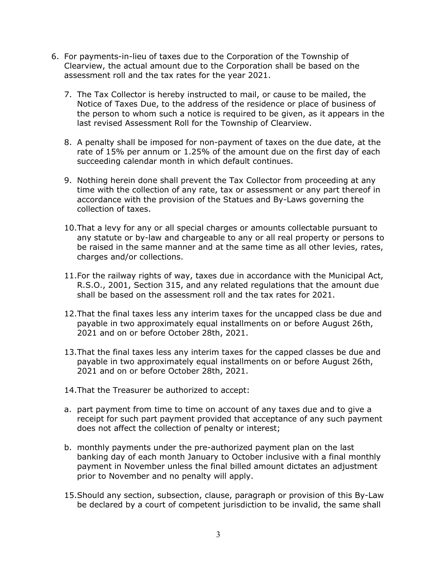- 6. For payments-in-lieu of taxes due to the Corporation of the Township of Clearview, the actual amount due to the Corporation shall be based on the assessment roll and the tax rates for the year 2021.
	- 7. The Tax Collector is hereby instructed to mail, or cause to be mailed, the Notice of Taxes Due, to the address of the residence or place of business of the person to whom such a notice is required to be given, as it appears in the last revised Assessment Roll for the Township of Clearview.
	- 8. A penalty shall be imposed for non-payment of taxes on the due date, at the rate of 15% per annum or 1.25% of the amount due on the first day of each succeeding calendar month in which default continues.
	- 9. Nothing herein done shall prevent the Tax Collector from proceeding at any time with the collection of any rate, tax or assessment or any part thereof in accordance with the provision of the Statues and By-Laws governing the collection of taxes.
	- 10.That a levy for any or all special charges or amounts collectable pursuant to any statute or by-law and chargeable to any or all real property or persons to be raised in the same manner and at the same time as all other levies, rates, charges and/or collections.
	- 11.For the railway rights of way, taxes due in accordance with the Municipal Act, R.S.O., 2001, Section 315, and any related regulations that the amount due shall be based on the assessment roll and the tax rates for 2021.
	- 12.That the final taxes less any interim taxes for the uncapped class be due and payable in two approximately equal installments on or before August 26th, 2021 and on or before October 28th, 2021.
	- 13.That the final taxes less any interim taxes for the capped classes be due and payable in two approximately equal installments on or before August 26th, 2021 and on or before October 28th, 2021.
	- 14.That the Treasurer be authorized to accept:
	- a. part payment from time to time on account of any taxes due and to give a receipt for such part payment provided that acceptance of any such payment does not affect the collection of penalty or interest;
	- b. monthly payments under the pre-authorized payment plan on the last banking day of each month January to October inclusive with a final monthly payment in November unless the final billed amount dictates an adjustment prior to November and no penalty will apply.
	- 15.Should any section, subsection, clause, paragraph or provision of this By-Law be declared by a court of competent jurisdiction to be invalid, the same shall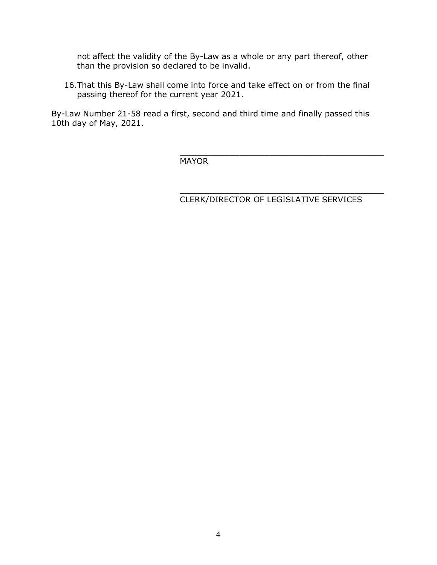not affect the validity of the By-Law as a whole or any part thereof, other than the provision so declared to be invalid.

16.That this By-Law shall come into force and take effect on or from the final passing thereof for the current year 2021.

 $\mathcal{L}_\mathcal{L} = \{ \mathcal{L}_\mathcal{L} = \{ \mathcal{L}_\mathcal{L} = \{ \mathcal{L}_\mathcal{L} = \{ \mathcal{L}_\mathcal{L} = \{ \mathcal{L}_\mathcal{L} = \{ \mathcal{L}_\mathcal{L} = \{ \mathcal{L}_\mathcal{L} = \{ \mathcal{L}_\mathcal{L} = \{ \mathcal{L}_\mathcal{L} = \{ \mathcal{L}_\mathcal{L} = \{ \mathcal{L}_\mathcal{L} = \{ \mathcal{L}_\mathcal{L} = \{ \mathcal{L}_\mathcal{L} = \{ \mathcal{L}_\mathcal{$ 

By-Law Number 21-58 read a first, second and third time and finally passed this 10th day of May, 2021.

MAYOR

#### $\mathcal{L}_\mathcal{L} = \{ \mathcal{L}_\mathcal{L} = \{ \mathcal{L}_\mathcal{L} = \{ \mathcal{L}_\mathcal{L} = \{ \mathcal{L}_\mathcal{L} = \{ \mathcal{L}_\mathcal{L} = \{ \mathcal{L}_\mathcal{L} = \{ \mathcal{L}_\mathcal{L} = \{ \mathcal{L}_\mathcal{L} = \{ \mathcal{L}_\mathcal{L} = \{ \mathcal{L}_\mathcal{L} = \{ \mathcal{L}_\mathcal{L} = \{ \mathcal{L}_\mathcal{L} = \{ \mathcal{L}_\mathcal{L} = \{ \mathcal{L}_\mathcal{$ CLERK/DIRECTOR OF LEGISLATIVE SERVICES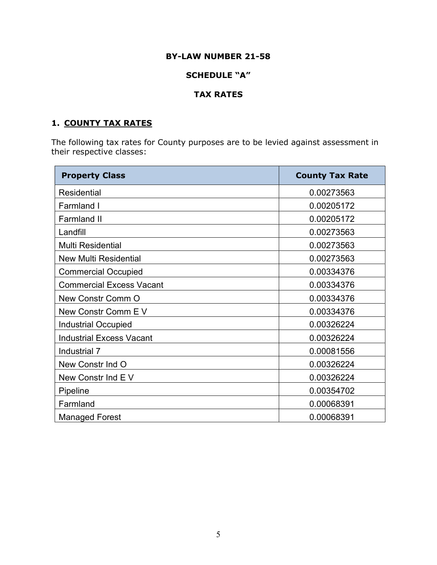### BY-LAW NUMBER 21-58

### SCHEDULE "A"

### TAX RATES

# 1. COUNTY TAX RATES

The following tax rates for County purposes are to be levied against assessment in their respective classes:

| <b>Property Class</b>           | <b>County Tax Rate</b> |  |
|---------------------------------|------------------------|--|
| <b>Residential</b>              | 0.00273563             |  |
| Farmland I                      | 0.00205172             |  |
| <b>Farmland II</b>              | 0.00205172             |  |
| Landfill                        | 0.00273563             |  |
| <b>Multi Residential</b>        | 0.00273563             |  |
| <b>New Multi Residential</b>    | 0.00273563             |  |
| <b>Commercial Occupied</b>      | 0.00334376             |  |
| <b>Commercial Excess Vacant</b> | 0.00334376             |  |
| <b>New Constr Comm O</b>        | 0.00334376             |  |
| New Constr Comm E V             | 0.00334376             |  |
| <b>Industrial Occupied</b>      | 0.00326224             |  |
| <b>Industrial Excess Vacant</b> | 0.00326224             |  |
| Industrial 7                    | 0.00081556             |  |
| New Constr Ind O                | 0.00326224             |  |
| New Constr Ind EV               | 0.00326224             |  |
| Pipeline                        | 0.00354702             |  |
| Farmland                        | 0.00068391             |  |
| <b>Managed Forest</b>           | 0.00068391             |  |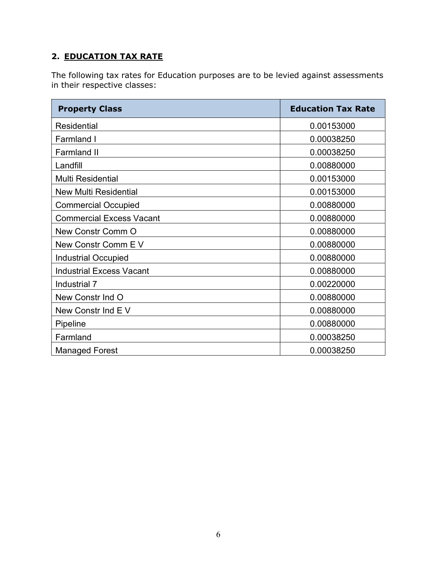# 2. EDUCATION TAX RATE

The following tax rates for Education purposes are to be levied against assessments in their respective classes:

| <b>Property Class</b>           | <b>Education Tax Rate</b> |  |  |
|---------------------------------|---------------------------|--|--|
| <b>Residential</b>              | 0.00153000                |  |  |
| <b>Farmland I</b>               | 0.00038250                |  |  |
| <b>Farmland II</b>              | 0.00038250                |  |  |
| Landfill                        | 0.00880000                |  |  |
| <b>Multi Residential</b>        | 0.00153000                |  |  |
| <b>New Multi Residential</b>    | 0.00153000                |  |  |
| <b>Commercial Occupied</b>      | 0.00880000                |  |  |
| <b>Commercial Excess Vacant</b> | 0.00880000                |  |  |
| New Constr Comm O               | 0.00880000                |  |  |
| New Constr Comm E V             | 0.00880000                |  |  |
| <b>Industrial Occupied</b>      | 0.00880000                |  |  |
| <b>Industrial Excess Vacant</b> | 0.00880000                |  |  |
| Industrial 7                    | 0.00220000                |  |  |
| New Constr Ind O                | 0.00880000                |  |  |
| New Constr Ind E V              | 0.00880000                |  |  |
| Pipeline                        | 0.00880000                |  |  |
| Farmland                        | 0.00038250                |  |  |
| <b>Managed Forest</b>           | 0.00038250                |  |  |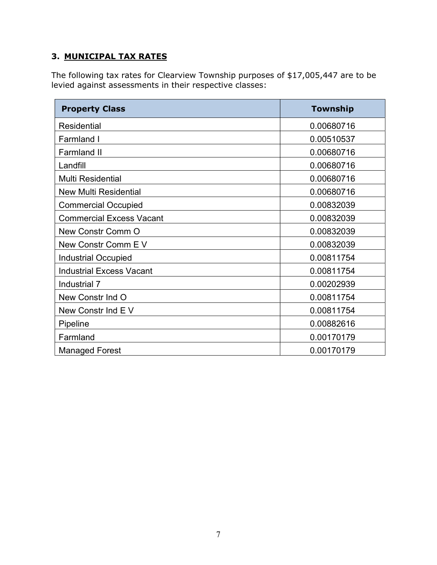# 3. MUNICIPAL TAX RATES

The following tax rates for Clearview Township purposes of \$17,005,447 are to be levied against assessments in their respective classes:

| <b>Property Class</b>           | <b>Township</b> |  |
|---------------------------------|-----------------|--|
| <b>Residential</b>              | 0.00680716      |  |
| <b>Farmland I</b>               | 0.00510537      |  |
| <b>Farmland II</b>              | 0.00680716      |  |
| Landfill                        | 0.00680716      |  |
| <b>Multi Residential</b>        | 0.00680716      |  |
| <b>New Multi Residential</b>    | 0.00680716      |  |
| <b>Commercial Occupied</b>      | 0.00832039      |  |
| <b>Commercial Excess Vacant</b> | 0.00832039      |  |
| New Constr Comm O               | 0.00832039      |  |
| New Constr Comm E V             | 0.00832039      |  |
| <b>Industrial Occupied</b>      | 0.00811754      |  |
| <b>Industrial Excess Vacant</b> | 0.00811754      |  |
| Industrial 7                    | 0.00202939      |  |
| New Constr Ind O                | 0.00811754      |  |
| New Constr Ind EV               | 0.00811754      |  |
| Pipeline                        | 0.00882616      |  |
| Farmland                        | 0.00170179      |  |
| <b>Managed Forest</b>           | 0.00170179      |  |